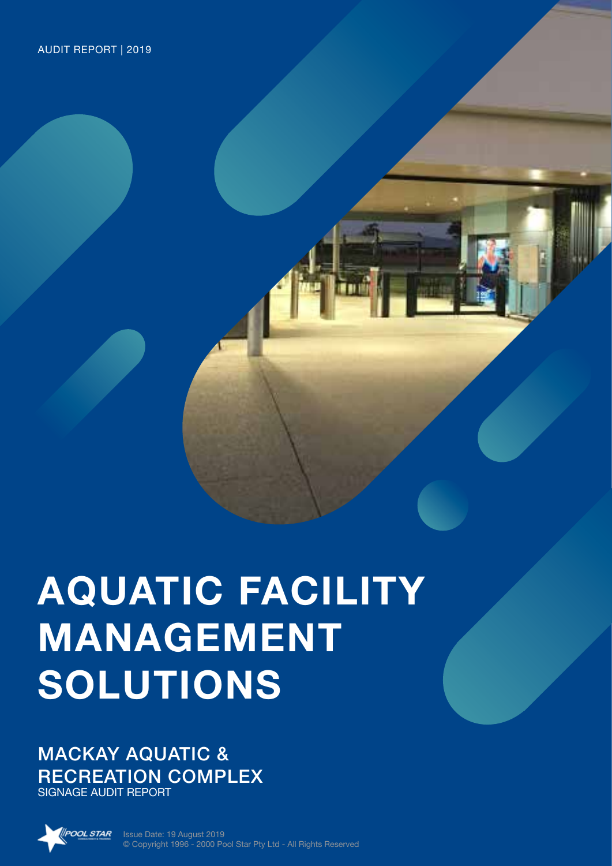# **AQUATIC FACILITY MANAGEMENT SOLUTIONS**

MACKAY AQUATIC & RECREATION COMPLEX SIGNAGE AUDIT REPORT



Issue Date: 19 August 2019 © Copyright 1996 - 2000 Pool Star Pty Ltd - All Rights Reserved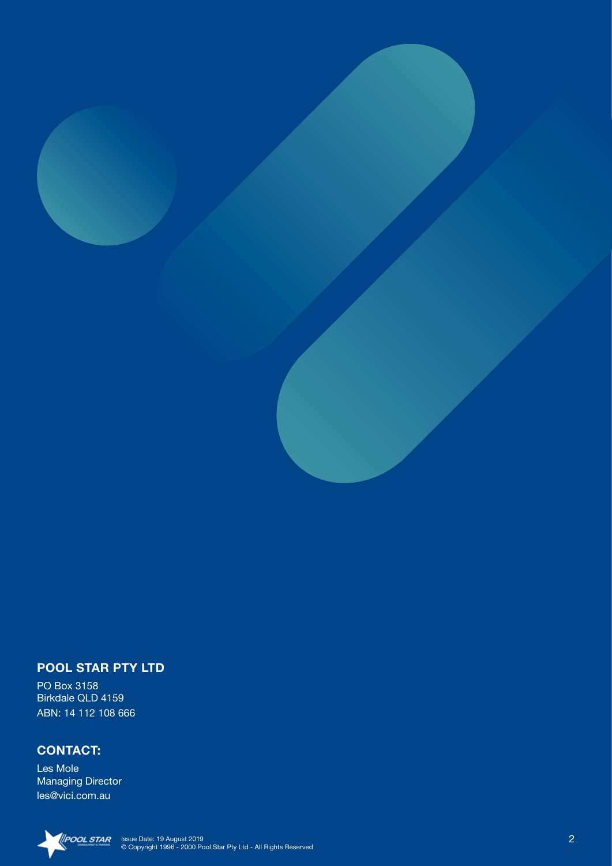### **POOL STAR PTY LTD**

PO Box 3158 Birkdale QLD 4159 ABN: 14 112 108 666

### **CONTACT:**

Les Mole Managing Director les@vici.com.au

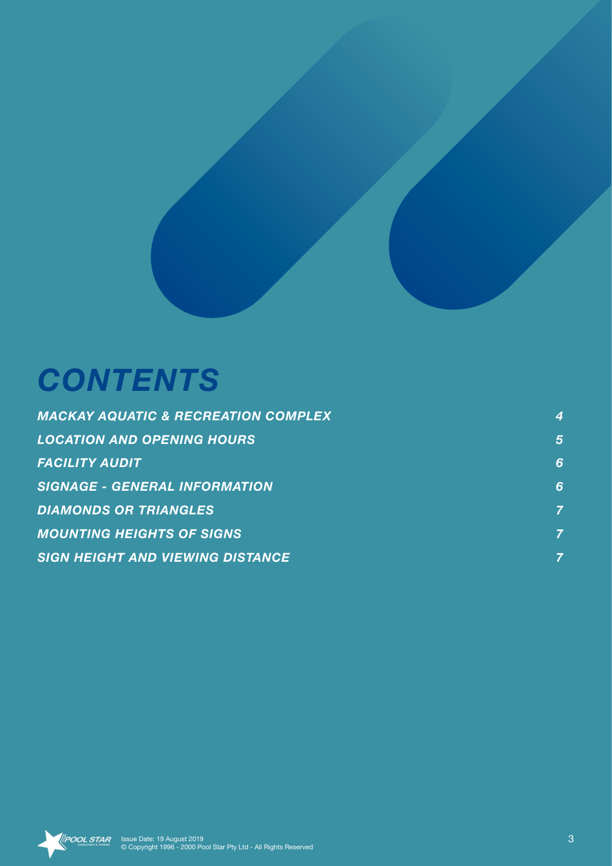# *CONTENTS*

| <b>MACKAY AQUATIC &amp; RECREATION COMPLEX</b> | 4              |
|------------------------------------------------|----------------|
| <b>LOCATION AND OPENING HOURS</b>              | $\overline{5}$ |
| <b>FACILITY AUDIT</b>                          | 6              |
| <b>SIGNAGE - GENERAL INFORMATION</b>           | 6              |
| <b>DIAMONDS OR TRIANGLES</b>                   | 7              |
| <b>MOUNTING HEIGHTS OF SIGNS</b>               | 7              |
| <b>SIGN HEIGHT AND VIEWING DISTANCE</b>        |                |

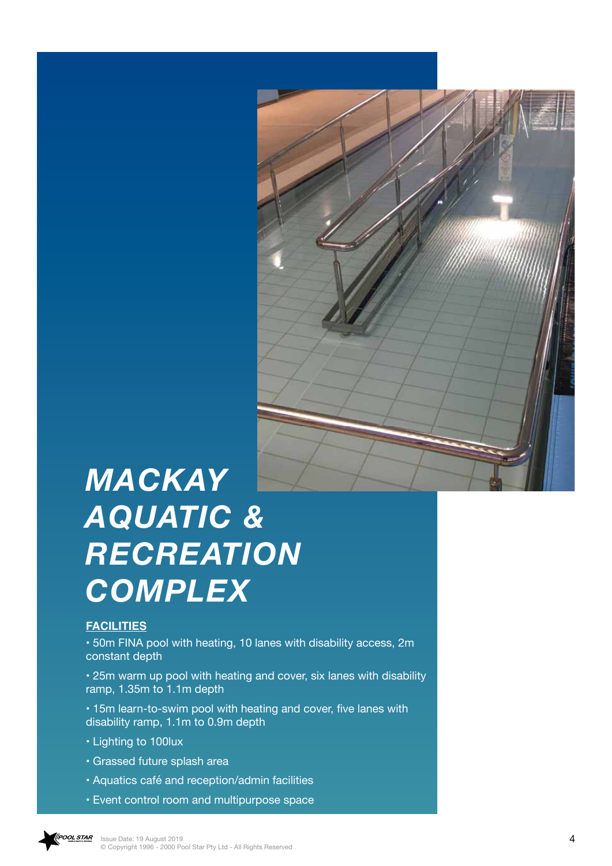

# *MACKAY AQUATIC & RECREATION COMPLEX*

### **FACILITIES**

• 50m FINA pool with heating, 10 lanes with disability access, 2m constant depth

• 25m warm up pool with heating and cover, six lanes with disability ramp, 1.35m to 1.1m depth

• 15m learn-to-swim pool with heating and cover, five lanes with disability ramp, 1.1m to 0.9m depth

- Lighting to 100lux
- Grassed future splash area
- Aquatics café and reception/admin facilities
- Event control room and multipurpose space

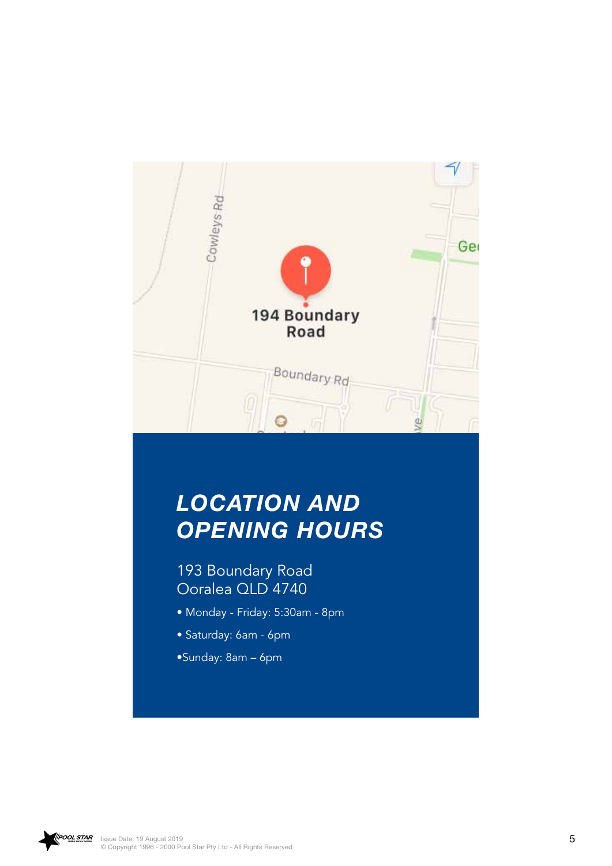

## *LOCATION AND OPENING HOURS*

193 Boundary Road Ooralea QLD 4740

- Monday Friday: 5:30am 8pm
- Saturday: 6am 6pm
- •Sunday: 8am 6pm

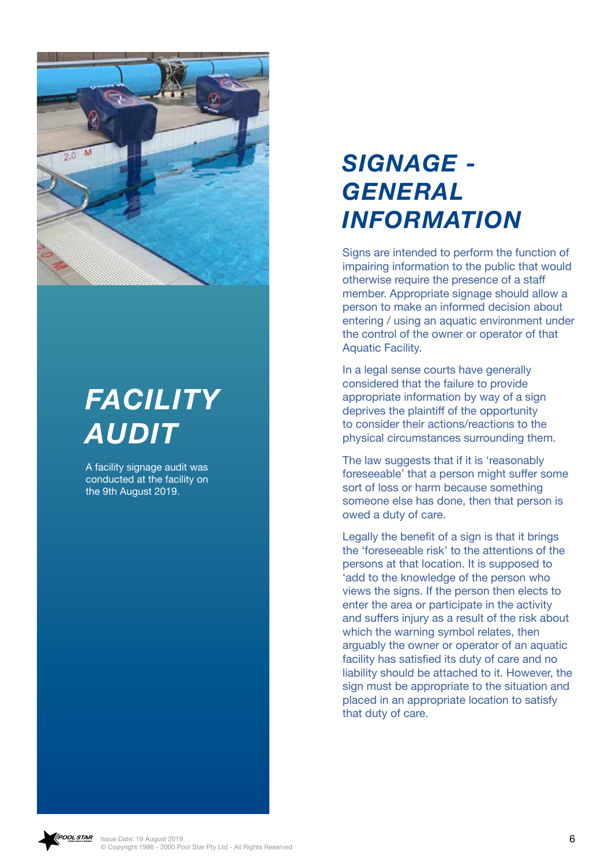

# *FACILITY AUDIT*

A facility signage audit was conducted at the facility on the 9th August 2019.

# *SIGNAGE ‑ GENERAL INFORMATION*

Signs are intended to perform the function of impairing information to the public that would otherwise require the presence of a staff member. Appropriate signage should allow a person to make an informed decision about entering / using an aquatic environment under the control of the owner or operator of that Aquatic Facility.

In a legal sense courts have generally considered that the failure to provide appropriate information by way of a sign deprives the plaintiff of the opportunity to consider their actions/reactions to the physical circumstances surrounding them.

The law suggests that if it is 'reasonably foreseeable' that a person might suffer some sort of loss or harm because something someone else has done, then that person is owed a duty of care.

Legally the benefit of a sign is that it brings the 'foreseeable risk' to the attentions of the persons at that location. It is supposed to 'add to the knowledge of the person who views the signs. If the person then elects to enter the area or participate in the activity and suffers injury as a result of the risk about which the warning symbol relates, then arguably the owner or operator of an aquatic facility has satisfied its duty of care and no liability should be attached to it. However, the sign must be appropriate to the situation and placed in an appropriate location to satisfy that duty of care.